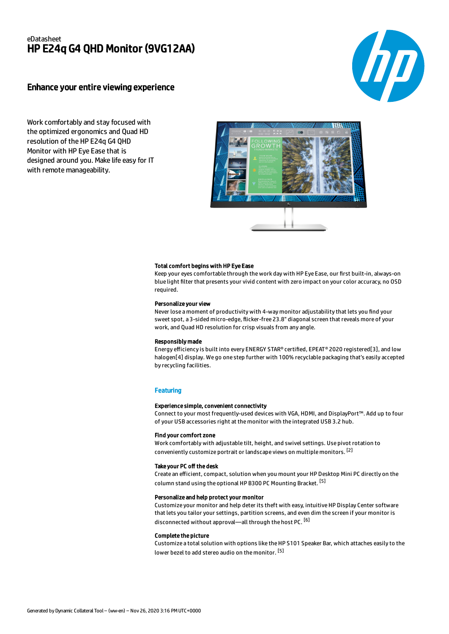## eDatasheet HP E24q G4 QHD Monitor (9VG12AA)

### Enhance your entire viewing experience



Work comfortably and stay focused with the optimized ergonomics and Quad HD resolution of the HP E24q G4 QHD Monitor with HP Eye Ease that is designed around you. Make life easy for IT with remote manageability.



#### Total comfort begins with HP Eye Ease

Keep your eyes comfortable through the work day with HP Eye Ease, our first built-in, always-on blue light filter that presents your vivid content with zero impact on your color accuracy, no OSD required.

#### Personalize your view

Never lose a moment of productivity with 4-way monitor adjustability that lets you find your sweet spot, a 3-sided micro-edge, flicker-free 23.8" diagonal screen that reveals more of your work, and Quad HD resolution for crisp visuals from any angle.

#### Responsibly made

Energy efficiency is built into every ENERGY STAR® certified, EPEAT® 2020 registered[3], and low halogen[4] display. We go one step further with 100% recyclable packaging that's easily accepted by recycling facilities.

#### **Featuring**

#### Experience simple, convenient connectivity

Connect to your most frequently-used devices with VGA, HDMI, and DisplayPort™. Add up to four of your USB accessories right at the monitor with the integrated USB 3.2 hub.

#### Find your comfort zone

Work comfortably with adjustable tilt, height, and swivel settings. Use pivot rotation to conveniently customize portrait or landscape views on multiple monitors. [2]

#### Take your PC off the desk

Create an efficient, compact, solution when you mount your HP Desktop Mini PC directly on the column stand using the optional HP B300 PC Mounting Bracket. <sup>[5]</sup>

### Personalize and help protect your monitor

Customize your monitor and help deter its theft with easy, intuitive HP Display Center software that lets you tailor your settings, partition screens, and even dim the screen if your monitor is disconnected without approval—all through the host PC. <sup>[6]</sup>

#### Complete the picture

Customize a total solution with options like the HP S101 Speaker Bar, which attaches easily to the lower bezel to add stereo audio on the monitor. <sup>[5]</sup>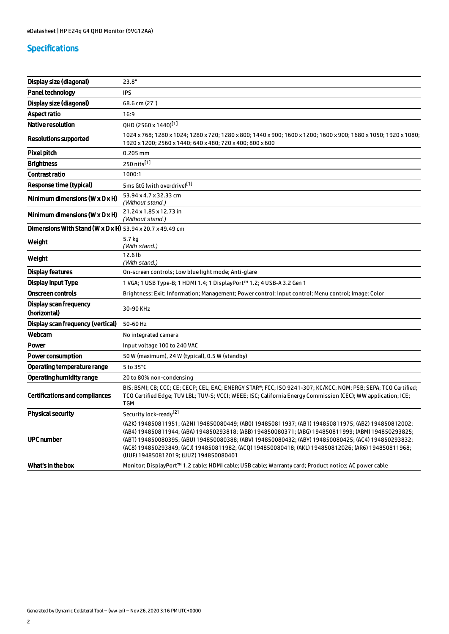# Specifications

| Display size (diagonal)                                   | 23.8"                                                                                                                                                                                                                                                                                                                                                                                                                                                              |
|-----------------------------------------------------------|--------------------------------------------------------------------------------------------------------------------------------------------------------------------------------------------------------------------------------------------------------------------------------------------------------------------------------------------------------------------------------------------------------------------------------------------------------------------|
| <b>Panel technology</b>                                   | <b>IPS</b>                                                                                                                                                                                                                                                                                                                                                                                                                                                         |
| Display size (diagonal)                                   | 68.6 cm (27")                                                                                                                                                                                                                                                                                                                                                                                                                                                      |
| <b>Aspect ratio</b>                                       | 16:9                                                                                                                                                                                                                                                                                                                                                                                                                                                               |
| <b>Native resolution</b>                                  | QHD (2560 x 1440) <sup>[1]</sup>                                                                                                                                                                                                                                                                                                                                                                                                                                   |
| <b>Resolutions supported</b>                              | 1024 x 768; 1280 x 1024; 1280 x 720; 1280 x 800; 1440 x 900; 1600 x 1200; 1600 x 900; 1680 x 1050; 1920 x 1080;<br>1920 x 1200; 2560 x 1440; 640 x 480; 720 x 400; 800 x 600                                                                                                                                                                                                                                                                                       |
| <b>Pixel pitch</b>                                        | 0.205 mm                                                                                                                                                                                                                                                                                                                                                                                                                                                           |
| <b>Brightness</b>                                         | 250 nits <sup>[1]</sup>                                                                                                                                                                                                                                                                                                                                                                                                                                            |
| <b>Contrast ratio</b>                                     | 1000:1                                                                                                                                                                                                                                                                                                                                                                                                                                                             |
| <b>Response time (typical)</b>                            | 5ms GtG (with overdrive)[1]                                                                                                                                                                                                                                                                                                                                                                                                                                        |
| Minimum dimensions ( $W \times D \times H$ )              | 53.94 x 4.7 x 32.33 cm<br>(Without stand.)                                                                                                                                                                                                                                                                                                                                                                                                                         |
| Minimum dimensions ( $W \times D \times H$ )              | 21.24 x 1.85 x 12.73 in<br>(Without stand.)                                                                                                                                                                                                                                                                                                                                                                                                                        |
| Dimensions With Stand (W x D x H) 53.94 x 20.7 x 49.49 cm |                                                                                                                                                                                                                                                                                                                                                                                                                                                                    |
| Weight                                                    | 5.7 kg<br>(With stand.)                                                                                                                                                                                                                                                                                                                                                                                                                                            |
| Weight                                                    | 12.6 lb<br>(With stand.)                                                                                                                                                                                                                                                                                                                                                                                                                                           |
| <b>Display features</b>                                   | On-screen controls; Low blue light mode; Anti-glare                                                                                                                                                                                                                                                                                                                                                                                                                |
| Display Input Type                                        | 1 VGA; 1 USB Type-B; 1 HDMI 1.4; 1 DisplayPort™ 1.2; 4 USB-A 3.2 Gen 1                                                                                                                                                                                                                                                                                                                                                                                             |
| <b>Onscreen controls</b>                                  | Brightness; Exit; Information; Management; Power control; Input control; Menu control; Image; Color                                                                                                                                                                                                                                                                                                                                                                |
| Display scan frequency<br>(horizontal)                    | 30-90 KHz                                                                                                                                                                                                                                                                                                                                                                                                                                                          |
| Display scan frequency (vertical)                         | 50-60 Hz                                                                                                                                                                                                                                                                                                                                                                                                                                                           |
| Webcam                                                    | No integrated camera                                                                                                                                                                                                                                                                                                                                                                                                                                               |
| Power                                                     | Input voltage 100 to 240 VAC                                                                                                                                                                                                                                                                                                                                                                                                                                       |
| <b>Power consumption</b>                                  | 50 W (maximum), 24 W (typical), 0.5 W (standby)                                                                                                                                                                                                                                                                                                                                                                                                                    |
| <b>Operating temperature range</b>                        | 5 to 35°C                                                                                                                                                                                                                                                                                                                                                                                                                                                          |
| <b>Operating humidity range</b>                           | 20 to 80% non-condensing                                                                                                                                                                                                                                                                                                                                                                                                                                           |
| <b>Certifications and compliances</b>                     | BIS; BSMI; CB; CCC; CE; CECP; CEL; EAC; ENERGY STAR®; FCC; ISO 9241-307; KC/KCC; NOM; PSB; SEPA; TCO Certified;<br>TCO Certified Edge; TUV LBL; TUV-S; VCCI; WEEE; ISC; California Energy Commission (CEC); WW application; ICE;<br><b>TGM</b>                                                                                                                                                                                                                     |
| <b>Physical security</b>                                  | Security lock-ready <sup>[2]</sup>                                                                                                                                                                                                                                                                                                                                                                                                                                 |
| <b>UPC number</b>                                         | (A2K) 194850811951; (A2N) 194850080449; (AB0) 194850811937; (AB1) 194850811975; (AB2) 194850812002;<br>(AB4) 194850811944; (ABA) 194850293818; (ABB) 194850080371; (ABG) 194850811999; (ABM) 194850293825;<br>(ABT) 194850080395; (ABU) 194850080388; (ABV) 194850080432; (ABY) 194850080425; (AC4) 194850293832;<br>(AC8) 194850293849; (ACJ) 194850811982; (ACQ) 194850080418; (AKL) 194850812026; (AR6) 194850811968;<br>(UUF) 194850812019; (UUZ) 194850080401 |
| What's in the box                                         | Monitor; DisplayPort™ 1.2 cable; HDMI cable; USB cable; Warranty card; Product notice; AC power cable                                                                                                                                                                                                                                                                                                                                                              |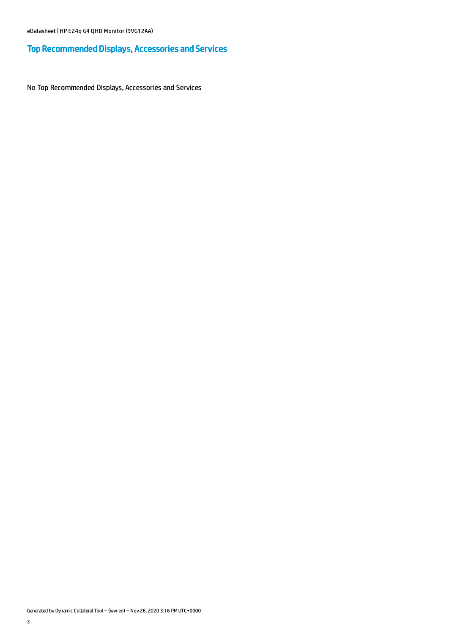# Top Recommended Displays, Accessories and Services

No Top Recommended Displays, Accessories and Services